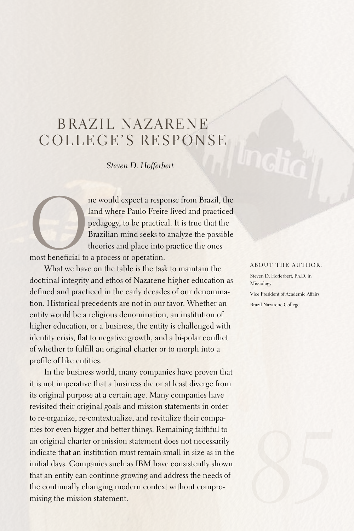# BRAZIL NAZARENE COLLEGE'S RESPONSE

*Steven D. Hofferbert*

ne would expect a response from Brazil, the<br>land where Paulo Freire lived and practiced<br>pedagogy, to be practical. It is true that the<br>Brazilian mind seeks to analyze the possible<br>theories and place into practice the ones<br> land where Paulo Freire lived and practiced pedagogy, to be practical. It is true that the Brazilian mind seeks to analyze the possible theories and place into practice the ones

most beneficial to a process or operation.

What we have on the table is the task to maintain the doctrinal integrity and ethos of Nazarene higher education as defined and practiced in the early decades of our denomination. Historical precedents are not in our favor. Whether an entity would be a religious denomination, an institution of higher education, or a business, the entity is challenged with identity crisis, flat to negative growth, and a bi-polar conflict of whether to fulfill an original charter or to morph into a profile of like entities.

In the business world, many companies have proven that it is not imperative that a business die or at least diverge from its original purpose at a certain age. Many companies have revisited their original goals and mission statements in order to re-organize, re-contextualize, and revitalize their companies for even bigger and better things. Remaining faithful to an original charter or mission statement does not necessarily indicate that an institution must remain small in size as in the initial days. Companies such as IBM have consistently shown that an entity can continue growing and address the needs of the continually changing modern context without compromising the mission statement.

#### ABOUT THE AUTHOR:

Steven D. Hofferbert, Ph.D. in Missiology Vice President of Academic Affairs Brazil Nazarene College

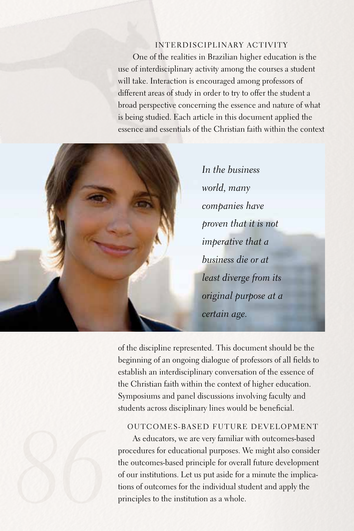### Interdisciplinary Activity

One of the realities in Brazilian higher education is the use of interdisciplinary activity among the courses a student will take. Interaction is encouraged among professors of different areas of study in order to try to offer the student a broad perspective concerning the essence and nature of what is being studied.Each article in this document applied the essence and essentials of the Christian faith within the context



*In the business world, many companies have proven that it is not imperative that a business die or at least diverge from its original purpose at a certain age.* 

of the discipline represented. This document should be the beginning of an ongoing dialogue of professors of all fields to establish an interdisciplinary conversation of the essence of the Christian faith within the context of higher education. Symposiums and panel discussions involving faculty and students across disciplinary lines would be beneficial.

#### Outcomes-Based Future Development

As educators, we are very familiar with outcomes-based procedures for educational purposes. We might also consider the outcomes-based principle for overall future development of our institutions.Let us put aside for a minute the implications of outcomes for the individual student and apply the principles to the institution as a whole.

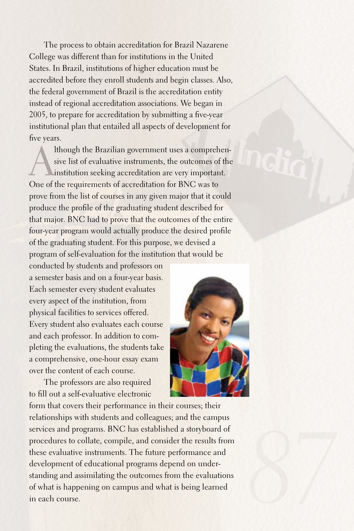The process to obtain accreditation for Brazil Nazarene College was different than for institutions in the United States. In Brazil, institutions of higher education must be accredited before they enroll students and begin classes.Also, the federal government of Brazil is the accreditation entity instead of regional accreditation associations. We began in 2005, to prepare for accreditation by submitting a five-year institutional plan that entailed all aspects of development for five years.

Ithough the Brazilian government uses a comprehen-<br>sive list of evaluative instruments, the outcomes of the<br>institution seeking accreditation are very important. sive list of evaluative instruments, the outcomes of the institution seeking accreditation are very important. One of the requirements of accreditation for BNC was to prove from the list of courses in any given major that it could produce the profile of the graduating student described for that major.BNC had to prove that the outcomes of the entire four-year program would actually produce the desired profile of the graduating student.For this purpose, we devised a program of self-evaluation for the institution that would be

conducted by students and professors on a semester basis and on a four-year basis. Each semester every student evaluates every aspect of the institution, from physical facilities to services offered. Every student also evaluates each course and each professor. In addition to completing the evaluations, the students take a comprehensive, one-hour essay exam over the content of each course.

The professors are also required to fill out a self-evaluative electronic



form that covers their performance in their courses; their relationships with students and colleagues; and the campus services and programs. BNC has established a storyboard of procedures to collate, compile, and consider the results from these evaluative instruments. The future performance and development of educational programs depend on understanding and assimilating the outcomes from the evaluations of what is happening on campus and what is being learned in each course.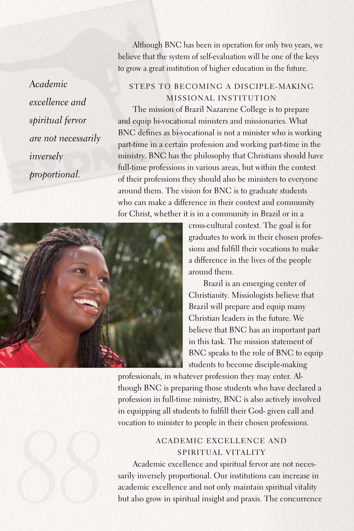*Academic excellence and spiritual fervor are not necessarily inversely proportional.*

Although BNC has been in operation for only two years, we believe that the system of self-evaluation will be one of the keys to grow a great institution of higher education in the future.

### Steps to Becoming a Disciple-making Missional Institution

The mission of Brazil Nazarene College is to prepare and equip bi-vocational ministers and missionaries. What BNC defines as bi-vocational is not a minister who is working part-time in a certain profession and working part-time in the ministry.BNC has the philosophy that Christians should have full-time professions in various areas, but within the context of their professions they should also be ministers to everyone around them. The vision for BNC is to graduate students who can make a difference in their context and community for Christ, whether it is in a community in Brazil or in a



cross-cultural context. The goal is for graduates to work in their chosen professions and fulfill their vocations to make a difference in the lives of the people around them.

Brazil is an emerging center of Christianity. Missiologists believe that Brazil will prepare and equip many Christian leaders in the future. We believe that BNC has an important part in this task. The mission statement of BNC speaks to the role of BNC to equip students to become disciple-making

professionals, in whatever profession they may enter.Although BNC is preparing those students who have declared a profession in full-time ministry, BNC is also actively involved in equipping all students to fulfill their God- given call and vocation to minister to people in their chosen professions.

## Academic Excellence and Spiritual Vitality

Academic excellence and spiritual fervor are not necessarily inversely proportional. Our institutions can increase in academic excellence and not only maintain spiritual vitality but also grow in spiritual insight and praxis. The concurrence